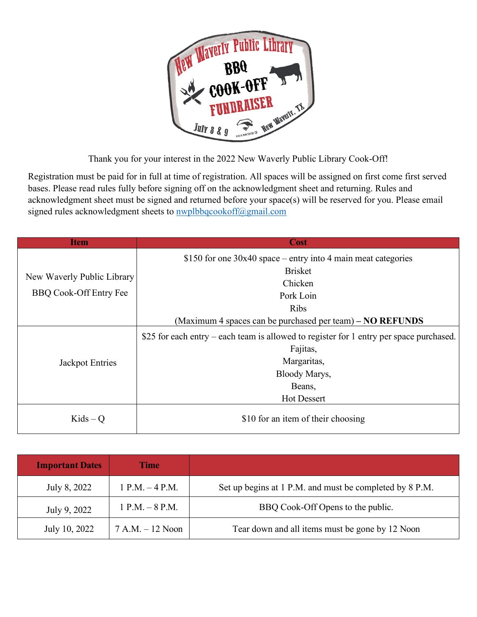

Thank you for your interest in the 2022 New Waverly Public Library Cook-Off!

Registration must be paid for in full at time of registration. All spaces will be assigned on first come first served bases. Please read rules fully before signing off on the acknowledgment sheet and returning. Rules and acknowledgment sheet must be signed and returned before your space(s) will be reserved for you. Please email signed rules acknowledgment sheets to **nwplbbqcookoff@gmail.com** 

| Item                                                        | <b>Cost</b>                                                                             |
|-------------------------------------------------------------|-----------------------------------------------------------------------------------------|
| New Waverly Public Library<br><b>BBQ Cook-Off Entry Fee</b> | \$150 for one $30x40$ space – entry into 4 main meat categories                         |
|                                                             | <b>Brisket</b>                                                                          |
|                                                             | Chicken                                                                                 |
|                                                             | Pork Loin                                                                               |
|                                                             | <b>Ribs</b>                                                                             |
|                                                             | (Maximum 4 spaces can be purchased per team) – NO REFUNDS                               |
| Jackpot Entries                                             | \$25 for each entry – each team is allowed to register for 1 entry per space purchased. |
|                                                             | Fajitas,                                                                                |
|                                                             | Margaritas,                                                                             |
|                                                             | Bloody Marys,                                                                           |
|                                                             | Beans,                                                                                  |
|                                                             | <b>Hot Dessert</b>                                                                      |
| $Kids - Q$                                                  | \$10 for an item of their choosing                                                      |

| <b>Important Dates</b> | <b>Time</b>        |                                                         |
|------------------------|--------------------|---------------------------------------------------------|
| July 8, 2022           | $1 P.M. - 4 P.M.$  | Set up begins at 1 P.M. and must be completed by 8 P.M. |
| July 9, 2022           | $1 P.M. - 8 P.M.$  | BBQ Cook-Off Opens to the public.                       |
| July 10, 2022          | $7 A.M. - 12 Noon$ | Tear down and all items must be gone by 12 Noon         |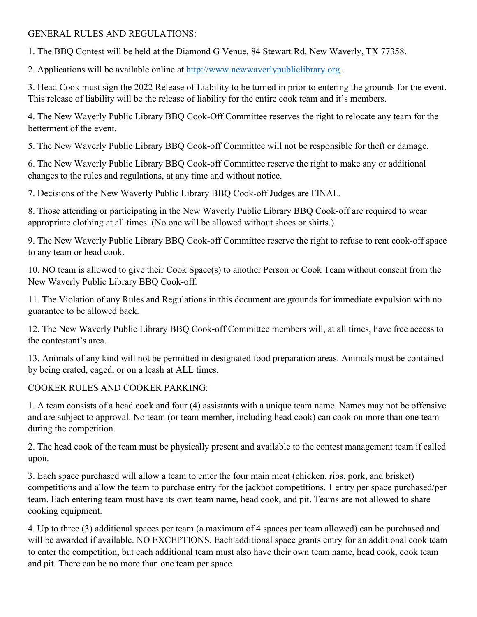## GENERAL RULES AND REGULATIONS:

1. The BBQ Contest will be held at the Diamond G Venue, 84 Stewart Rd, New Waverly, TX 77358.

2. Applications will be available online at [http://www.newwaverlypubliclibrary.org](http://www.newwaverlypubliclibrary.org/) .

3. Head Cook must sign the 2022 Release of Liability to be turned in prior to entering the grounds for the event. This release of liability will be the release of liability for the entire cook team and it's members.

4. The New Waverly Public Library BBQ Cook-Off Committee reserves the right to relocate any team for the betterment of the event.

5. The New Waverly Public Library BBQ Cook-off Committee will not be responsible for theft or damage.

6. The New Waverly Public Library BBQ Cook-off Committee reserve the right to make any or additional changes to the rules and regulations, at any time and without notice.

7. Decisions of the New Waverly Public Library BBQ Cook-off Judges are FINAL.

8. Those attending or participating in the New Waverly Public Library BBQ Cook-off are required to wear appropriate clothing at all times. (No one will be allowed without shoes or shirts.)

9. The New Waverly Public Library BBQ Cook-off Committee reserve the right to refuse to rent cook-off space to any team or head cook.

10. NO team is allowed to give their Cook Space(s) to another Person or Cook Team without consent from the New Waverly Public Library BBQ Cook-off.

11. The Violation of any Rules and Regulations in this document are grounds for immediate expulsion with no guarantee to be allowed back.

12. The New Waverly Public Library BBQ Cook-off Committee members will, at all times, have free access to the contestant's area.

13. Animals of any kind will not be permitted in designated food preparation areas. Animals must be contained by being crated, caged, or on a leash at ALL times.

## COOKER RULES AND COOKER PARKING:

1. A team consists of a head cook and four (4) assistants with a unique team name. Names may not be offensive and are subject to approval. No team (or team member, including head cook) can cook on more than one team during the competition.

2. The head cook of the team must be physically present and available to the contest management team if called upon.

3. Each space purchased will allow a team to enter the four main meat (chicken, ribs, pork, and brisket) competitions and allow the team to purchase entry for the jackpot competitions. 1 entry per space purchased/per team. Each entering team must have its own team name, head cook, and pit. Teams are not allowed to share cooking equipment.

4. Up to three (3) additional spaces per team (a maximum of 4 spaces per team allowed) can be purchased and will be awarded if available. NO EXCEPTIONS. Each additional space grants entry for an additional cook team to enter the competition, but each additional team must also have their own team name, head cook, cook team and pit. There can be no more than one team per space.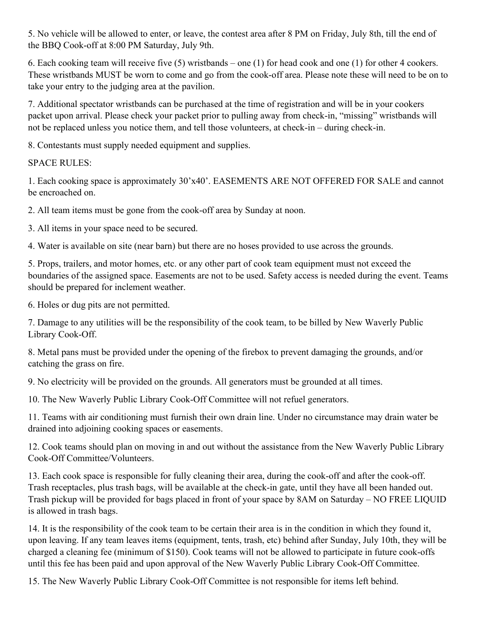5. No vehicle will be allowed to enter, or leave, the contest area after 8 PM on Friday, July 8th, till the end of the BBQ Cook-off at 8:00 PM Saturday, July 9th.

6. Each cooking team will receive five (5) wristbands – one (1) for head cook and one (1) for other 4 cookers. These wristbands MUST be worn to come and go from the cook-off area. Please note these will need to be on to take your entry to the judging area at the pavilion.

7. Additional spectator wristbands can be purchased at the time of registration and will be in your cookers packet upon arrival. Please check your packet prior to pulling away from check-in, "missing" wristbands will not be replaced unless you notice them, and tell those volunteers, at check-in – during check-in.

8. Contestants must supply needed equipment and supplies.

#### SPACE RULES:

1. Each cooking space is approximately 30'x40'. EASEMENTS ARE NOT OFFERED FOR SALE and cannot be encroached on.

2. All team items must be gone from the cook-off area by Sunday at noon.

3. All items in your space need to be secured.

4. Water is available on site (near barn) but there are no hoses provided to use across the grounds.

5. Props, trailers, and motor homes, etc. or any other part of cook team equipment must not exceed the boundaries of the assigned space. Easements are not to be used. Safety access is needed during the event. Teams should be prepared for inclement weather.

6. Holes or dug pits are not permitted.

7. Damage to any utilities will be the responsibility of the cook team, to be billed by New Waverly Public Library Cook-Off.

8. Metal pans must be provided under the opening of the firebox to prevent damaging the grounds, and/or catching the grass on fire.

9. No electricity will be provided on the grounds. All generators must be grounded at all times.

10. The New Waverly Public Library Cook-Off Committee will not refuel generators.

11. Teams with air conditioning must furnish their own drain line. Under no circumstance may drain water be drained into adjoining cooking spaces or easements.

12. Cook teams should plan on moving in and out without the assistance from the New Waverly Public Library Cook-Off Committee/Volunteers.

13. Each cook space is responsible for fully cleaning their area, during the cook-off and after the cook-off. Trash receptacles, plus trash bags, will be available at the check-in gate, until they have all been handed out. Trash pickup will be provided for bags placed in front of your space by 8AM on Saturday – NO FREE LIQUID is allowed in trash bags.

14. It is the responsibility of the cook team to be certain their area is in the condition in which they found it, upon leaving. If any team leaves items (equipment, tents, trash, etc) behind after Sunday, July 10th, they will be charged a cleaning fee (minimum of \$150). Cook teams will not be allowed to participate in future cook-offs until this fee has been paid and upon approval of the New Waverly Public Library Cook-Off Committee.

15. The New Waverly Public Library Cook-Off Committee is not responsible for items left behind.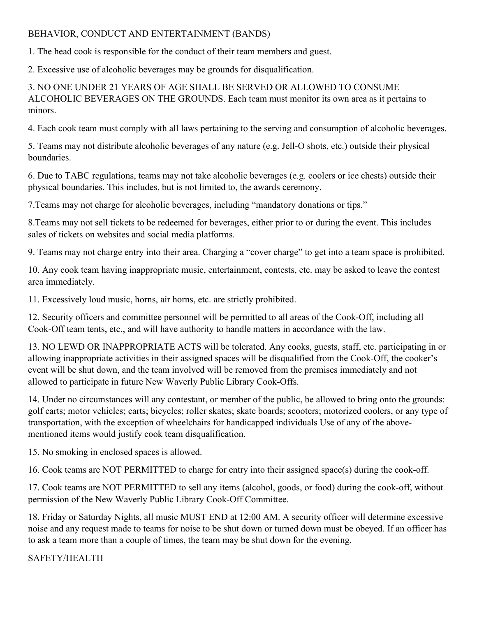## BEHAVIOR, CONDUCT AND ENTERTAINMENT (BANDS)

1. The head cook is responsible for the conduct of their team members and guest.

2. Excessive use of alcoholic beverages may be grounds for disqualification.

3. NO ONE UNDER 21 YEARS OF AGE SHALL BE SERVED OR ALLOWED TO CONSUME ALCOHOLIC BEVERAGES ON THE GROUNDS. Each team must monitor its own area as it pertains to minors.

4. Each cook team must comply with all laws pertaining to the serving and consumption of alcoholic beverages.

5. Teams may not distribute alcoholic beverages of any nature (e.g. Jell-O shots, etc.) outside their physical boundaries.

6. Due to TABC regulations, teams may not take alcoholic beverages (e.g. coolers or ice chests) outside their physical boundaries. This includes, but is not limited to, the awards ceremony.

7.Teams may not charge for alcoholic beverages, including "mandatory donations or tips."

8.Teams may not sell tickets to be redeemed for beverages, either prior to or during the event. This includes sales of tickets on websites and social media platforms.

9. Teams may not charge entry into their area. Charging a "cover charge" to get into a team space is prohibited.

10. Any cook team having inappropriate music, entertainment, contests, etc. may be asked to leave the contest area immediately.

11. Excessively loud music, horns, air horns, etc. are strictly prohibited.

12. Security officers and committee personnel will be permitted to all areas of the Cook-Off, including all Cook-Off team tents, etc., and will have authority to handle matters in accordance with the law.

13. NO LEWD OR INAPPROPRIATE ACTS will be tolerated. Any cooks, guests, staff, etc. participating in or allowing inappropriate activities in their assigned spaces will be disqualified from the Cook-Off, the cooker's event will be shut down, and the team involved will be removed from the premises immediately and not allowed to participate in future New Waverly Public Library Cook-Offs.

14. Under no circumstances will any contestant, or member of the public, be allowed to bring onto the grounds: golf carts; motor vehicles; carts; bicycles; roller skates; skate boards; scooters; motorized coolers, or any type of transportation, with the exception of wheelchairs for handicapped individuals Use of any of the abovementioned items would justify cook team disqualification.

15. No smoking in enclosed spaces is allowed.

16. Cook teams are NOT PERMITTED to charge for entry into their assigned space(s) during the cook-off.

17. Cook teams are NOT PERMITTED to sell any items (alcohol, goods, or food) during the cook-off, without permission of the New Waverly Public Library Cook-Off Committee.

18. Friday or Saturday Nights, all music MUST END at 12:00 AM. A security officer will determine excessive noise and any request made to teams for noise to be shut down or turned down must be obeyed. If an officer has to ask a team more than a couple of times, the team may be shut down for the evening.

SAFETY/HEALTH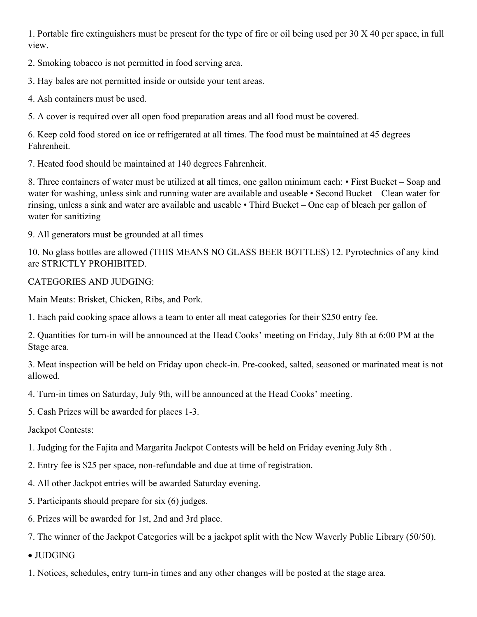1. Portable fire extinguishers must be present for the type of fire or oil being used per 30 X 40 per space, in full view.

2. Smoking tobacco is not permitted in food serving area.

3. Hay bales are not permitted inside or outside your tent areas.

4. Ash containers must be used.

5. A cover is required over all open food preparation areas and all food must be covered.

6. Keep cold food stored on ice or refrigerated at all times. The food must be maintained at 45 degrees Fahrenheit.

7. Heated food should be maintained at 140 degrees Fahrenheit.

8. Three containers of water must be utilized at all times, one gallon minimum each: • First Bucket – Soap and water for washing, unless sink and running water are available and useable • Second Bucket – Clean water for rinsing, unless a sink and water are available and useable • Third Bucket – One cap of bleach per gallon of water for sanitizing

9. All generators must be grounded at all times

10. No glass bottles are allowed (THIS MEANS NO GLASS BEER BOTTLES) 12. Pyrotechnics of any kind are STRICTLY PROHIBITED.

# CATEGORIES AND JUDGING:

Main Meats: Brisket, Chicken, Ribs, and Pork.

1. Each paid cooking space allows a team to enter all meat categories for their \$250 entry fee.

2. Quantities for turn-in will be announced at the Head Cooks' meeting on Friday, July 8th at 6:00 PM at the Stage area.

3. Meat inspection will be held on Friday upon check-in. Pre-cooked, salted, seasoned or marinated meat is not allowed.

4. Turn-in times on Saturday, July 9th, will be announced at the Head Cooks' meeting.

5. Cash Prizes will be awarded for places 1-3.

Jackpot Contests:

1. Judging for the Fajita and Margarita Jackpot Contests will be held on Friday evening July 8th .

2. Entry fee is \$25 per space, non-refundable and due at time of registration.

4. All other Jackpot entries will be awarded Saturday evening.

- 5. Participants should prepare for six (6) judges.
- 6. Prizes will be awarded for 1st, 2nd and 3rd place.

7. The winner of the Jackpot Categories will be a jackpot split with the New Waverly Public Library (50/50).

- JUDGING
- 1. Notices, schedules, entry turn-in times and any other changes will be posted at the stage area.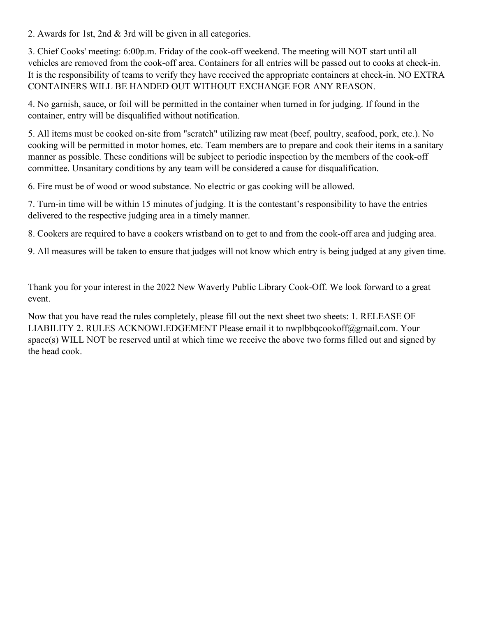2. Awards for 1st, 2nd & 3rd will be given in all categories.

3. Chief Cooks' meeting: 6:00p.m. Friday of the cook-off weekend. The meeting will NOT start until all vehicles are removed from the cook-off area. Containers for all entries will be passed out to cooks at check-in. It is the responsibility of teams to verify they have received the appropriate containers at check-in. NO EXTRA CONTAINERS WILL BE HANDED OUT WITHOUT EXCHANGE FOR ANY REASON.

4. No garnish, sauce, or foil will be permitted in the container when turned in for judging. If found in the container, entry will be disqualified without notification.

5. All items must be cooked on-site from "scratch" utilizing raw meat (beef, poultry, seafood, pork, etc.). No cooking will be permitted in motor homes, etc. Team members are to prepare and cook their items in a sanitary manner as possible. These conditions will be subject to periodic inspection by the members of the cook-off committee. Unsanitary conditions by any team will be considered a cause for disqualification.

6. Fire must be of wood or wood substance. No electric or gas cooking will be allowed.

7. Turn-in time will be within 15 minutes of judging. It is the contestant's responsibility to have the entries delivered to the respective judging area in a timely manner.

8. Cookers are required to have a cookers wristband on to get to and from the cook-off area and judging area.

9. All measures will be taken to ensure that judges will not know which entry is being judged at any given time.

Thank you for your interest in the 2022 New Waverly Public Library Cook-Off. We look forward to a great event.

Now that you have read the rules completely, please fill out the next sheet two sheets: 1. RELEASE OF LIABILITY 2. RULES ACKNOWLEDGEMENT Please email it to nwplbbqcookoff@gmail.com. Your space(s) WILL NOT be reserved until at which time we receive the above two forms filled out and signed by the head cook.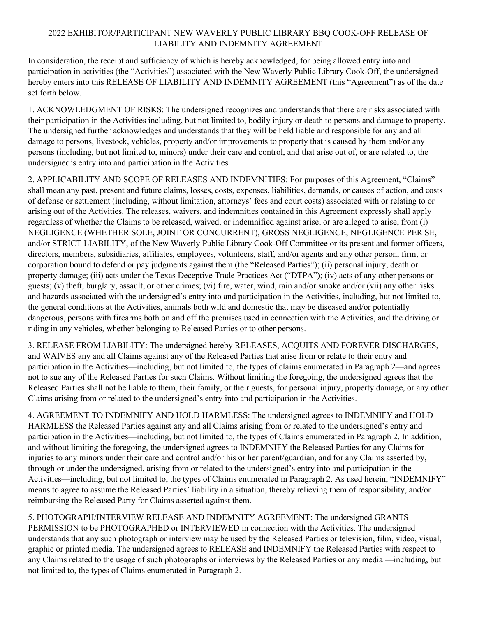#### 2022 EXHIBITOR/PARTICIPANT NEW WAVERLY PUBLIC LIBRARY BBQ COOK-OFF RELEASE OF LIABILITY AND INDEMNITY AGREEMENT

In consideration, the receipt and sufficiency of which is hereby acknowledged, for being allowed entry into and participation in activities (the "Activities") associated with the New Waverly Public Library Cook-Off, the undersigned hereby enters into this RELEASE OF LIABILITY AND INDEMNITY AGREEMENT (this "Agreement") as of the date set forth below.

1. ACKNOWLEDGMENT OF RISKS: The undersigned recognizes and understands that there are risks associated with their participation in the Activities including, but not limited to, bodily injury or death to persons and damage to property. The undersigned further acknowledges and understands that they will be held liable and responsible for any and all damage to persons, livestock, vehicles, property and/or improvements to property that is caused by them and/or any persons (including, but not limited to, minors) under their care and control, and that arise out of, or are related to, the undersigned's entry into and participation in the Activities.

2. APPLICABILITY AND SCOPE OF RELEASES AND INDEMNITIES: For purposes of this Agreement, "Claims" shall mean any past, present and future claims, losses, costs, expenses, liabilities, demands, or causes of action, and costs of defense or settlement (including, without limitation, attorneys' fees and court costs) associated with or relating to or arising out of the Activities. The releases, waivers, and indemnities contained in this Agreement expressly shall apply regardless of whether the Claims to be released, waived, or indemnified against arise, or are alleged to arise, from (i) NEGLIGENCE (WHETHER SOLE, JOINT OR CONCURRENT), GROSS NEGLIGENCE, NEGLIGENCE PER SE, and/or STRICT LIABILITY, of the New Waverly Public Library Cook-Off Committee or its present and former officers, directors, members, subsidiaries, affiliates, employees, volunteers, staff, and/or agents and any other person, firm, or corporation bound to defend or pay judgments against them (the "Released Parties"); (ii) personal injury, death or property damage; (iii) acts under the Texas Deceptive Trade Practices Act ("DTPA"); (iv) acts of any other persons or guests; (v) theft, burglary, assault, or other crimes; (vi) fire, water, wind, rain and/or smoke and/or (vii) any other risks and hazards associated with the undersigned's entry into and participation in the Activities, including, but not limited to, the general conditions at the Activities, animals both wild and domestic that may be diseased and/or potentially dangerous, persons with firearms both on and off the premises used in connection with the Activities, and the driving or riding in any vehicles, whether belonging to Released Parties or to other persons.

3. RELEASE FROM LIABILITY: The undersigned hereby RELEASES, ACQUITS AND FOREVER DISCHARGES, and WAIVES any and all Claims against any of the Released Parties that arise from or relate to their entry and participation in the Activities—including, but not limited to, the types of claims enumerated in Paragraph 2—and agrees not to sue any of the Released Parties for such Claims. Without limiting the foregoing, the undersigned agrees that the Released Parties shall not be liable to them, their family, or their guests, for personal injury, property damage, or any other Claims arising from or related to the undersigned's entry into and participation in the Activities.

4. AGREEMENT TO INDEMNIFY AND HOLD HARMLESS: The undersigned agrees to INDEMNIFY and HOLD HARMLESS the Released Parties against any and all Claims arising from or related to the undersigned's entry and participation in the Activities—including, but not limited to, the types of Claims enumerated in Paragraph 2. In addition, and without limiting the foregoing, the undersigned agrees to INDEMNIFY the Released Parties for any Claims for injuries to any minors under their care and control and/or his or her parent/guardian, and for any Claims asserted by, through or under the undersigned, arising from or related to the undersigned's entry into and participation in the Activities—including, but not limited to, the types of Claims enumerated in Paragraph 2. As used herein, "INDEMNIFY" means to agree to assume the Released Parties' liability in a situation, thereby relieving them of responsibility, and/or reimbursing the Released Party for Claims asserted against them.

5. PHOTOGRAPH/INTERVIEW RELEASE AND INDEMNITY AGREEMENT: The undersigned GRANTS PERMISSION to be PHOTOGRAPHED or INTERVIEWED in connection with the Activities. The undersigned understands that any such photograph or interview may be used by the Released Parties or television, film, video, visual, graphic or printed media. The undersigned agrees to RELEASE and INDEMNIFY the Released Parties with respect to any Claims related to the usage of such photographs or interviews by the Released Parties or any media —including, but not limited to, the types of Claims enumerated in Paragraph 2.